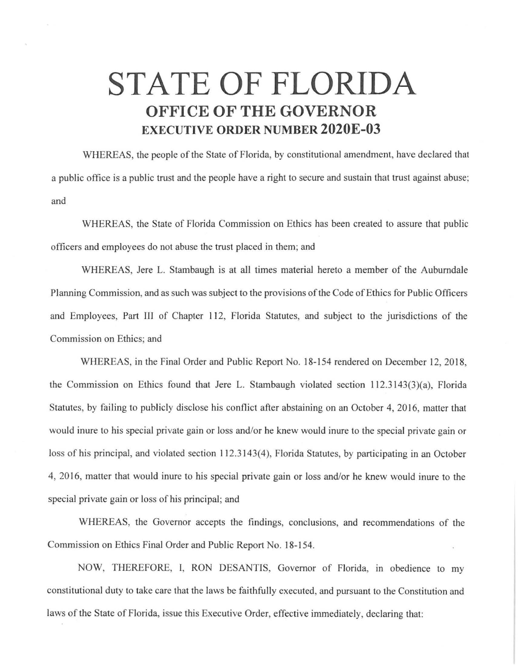## **STATE OF FLORIDA OFFICE OF THE GOVERNOR EXECUTIVE ORDER NUMBER 2020E-03**

WHEREAS, the people of the State of Florida, by constitutional amendment, have declared that a public office is a public trust and the people have a right to secure and sustain that trust against abuse; and

WHEREAS, the State of Florida Commission on Ethics has been created to assure that public officers and employees do not abuse the trust placed in them; and

WHEREAS, Jere L. Stambaugh is at all times material hereto a member of the Auburndale Planning Commission, and as such was subject to the provisions of the Code of Ethics for Public Officers and Employees, Part III of Chapter 112, Florida Statutes, and subject to the jurisdictions of the Commission on Ethics; and

WHEREAS, in the Final Order and Public Report No. 18-154 rendered on December 12, 2018, the Commission on Ethics found that Jere L. Stambaugh violated section 112.3143(3)(a), Florida Statutes, by failing to publicly disclose his conflict after abstaining on an October 4, 2016, matter that would inure to his special private gain or loss and/or he knew would inure to the special private gain or loss of his principal, and violated section 112.3143(4), Florida Statutes, by participating in an October 4, 2016, matter that would inure to his special private gain or loss and/or he knew would inure to the special private gain or loss of his principal; and

WHEREAS, the Governor accepts the findings, conclusions, and recommendations of the Commission on Ethics Final Order and Public Report No. 18-154.

NOW, THEREFORE, I, RON DESANTIS, Governor of Florida, in obedience to my constitutional duty to take care that the laws be faithfully executed, and pursuant to the Constitution and laws of the State of Florida, issue this Executive Order, effective immediately, declaring that: